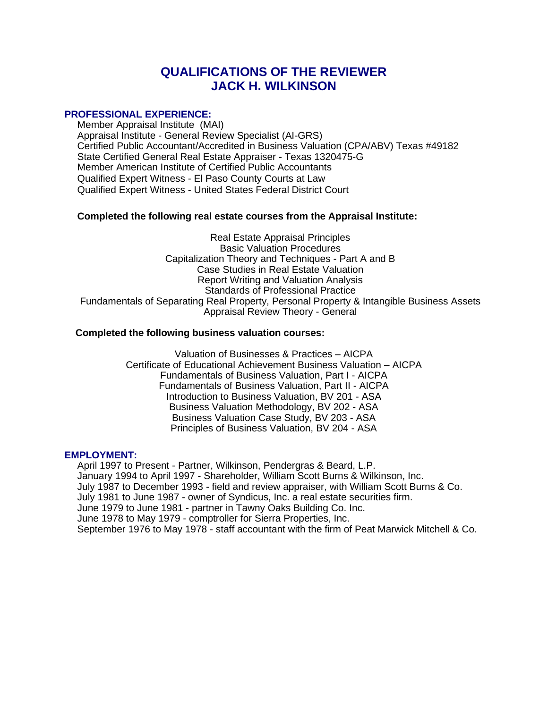# **QUALIFICATIONS OF THE REVIEWER JACK H. WILKINSON**

### **PROFESSIONAL EXPERIENCE:**

Member Appraisal Institute (MAI) Appraisal Institute - General Review Specialist (AI-GRS) Certified Public Accountant/Accredited in Business Valuation (CPA/ABV) Texas #49182 State Certified General Real Estate Appraiser - Texas 1320475-G Member American Institute of Certified Public Accountants Qualified Expert Witness - El Paso County Courts at Law Qualified Expert Witness - United States Federal District Court

## **Completed the following real estate courses from the Appraisal Institute:**

Real Estate Appraisal Principles Basic Valuation Procedures Capitalization Theory and Techniques - Part A and B Case Studies in Real Estate Valuation Report Writing and Valuation Analysis Standards of Professional Practice Fundamentals of Separating Real Property, Personal Property & Intangible Business Assets Appraisal Review Theory - General

### **Completed the following business valuation courses:**

Valuation of Businesses & Practices – AICPA Certificate of Educational Achievement Business Valuation – AICPA Fundamentals of Business Valuation, Part I - AICPA Fundamentals of Business Valuation, Part II - AICPA Introduction to Business Valuation, BV 201 - ASA Business Valuation Methodology, BV 202 - ASA Business Valuation Case Study, BV 203 - ASA Principles of Business Valuation, BV 204 - ASA

### **EMPLOYMENT:**

April 1997 to Present - Partner, Wilkinson, Pendergras & Beard, L.P. January 1994 to April 1997 - Shareholder, William Scott Burns & Wilkinson, Inc. July 1987 to December 1993 - field and review appraiser, with William Scott Burns & Co. July 1981 to June 1987 - owner of Syndicus, Inc. a real estate securities firm. June 1979 to June 1981 - partner in Tawny Oaks Building Co. Inc. June 1978 to May 1979 - comptroller for Sierra Properties, Inc. September 1976 to May 1978 - staff accountant with the firm of Peat Marwick Mitchell & Co.